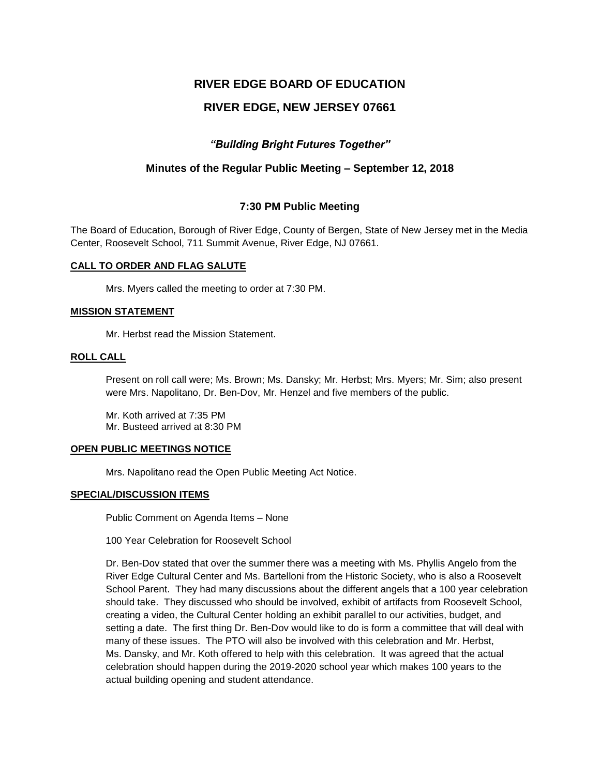# **RIVER EDGE BOARD OF EDUCATION**

# **RIVER EDGE, NEW JERSEY 07661**

# *"Building Bright Futures Together"*

# **Minutes of the Regular Public Meeting – September 12, 2018**

# **7:30 PM Public Meeting**

The Board of Education, Borough of River Edge, County of Bergen, State of New Jersey met in the Media Center, Roosevelt School, 711 Summit Avenue, River Edge, NJ 07661.

### **CALL TO ORDER AND FLAG SALUTE**

Mrs. Myers called the meeting to order at 7:30 PM.

### **MISSION STATEMENT**

Mr. Herbst read the Mission Statement.

#### **ROLL CALL**

Present on roll call were; Ms. Brown; Ms. Dansky; Mr. Herbst; Mrs. Myers; Mr. Sim; also present were Mrs. Napolitano, Dr. Ben-Dov, Mr. Henzel and five members of the public.

Mr. Koth arrived at 7:35 PM Mr. Busteed arrived at 8:30 PM

#### **OPEN PUBLIC MEETINGS NOTICE**

Mrs. Napolitano read the Open Public Meeting Act Notice.

### **SPECIAL/DISCUSSION ITEMS**

Public Comment on Agenda Items – None

100 Year Celebration for Roosevelt School

Dr. Ben-Dov stated that over the summer there was a meeting with Ms. Phyllis Angelo from the River Edge Cultural Center and Ms. Bartelloni from the Historic Society, who is also a Roosevelt School Parent. They had many discussions about the different angels that a 100 year celebration should take. They discussed who should be involved, exhibit of artifacts from Roosevelt School, creating a video, the Cultural Center holding an exhibit parallel to our activities, budget, and setting a date. The first thing Dr. Ben-Dov would like to do is form a committee that will deal with many of these issues. The PTO will also be involved with this celebration and Mr. Herbst, Ms. Dansky, and Mr. Koth offered to help with this celebration. It was agreed that the actual celebration should happen during the 2019-2020 school year which makes 100 years to the actual building opening and student attendance.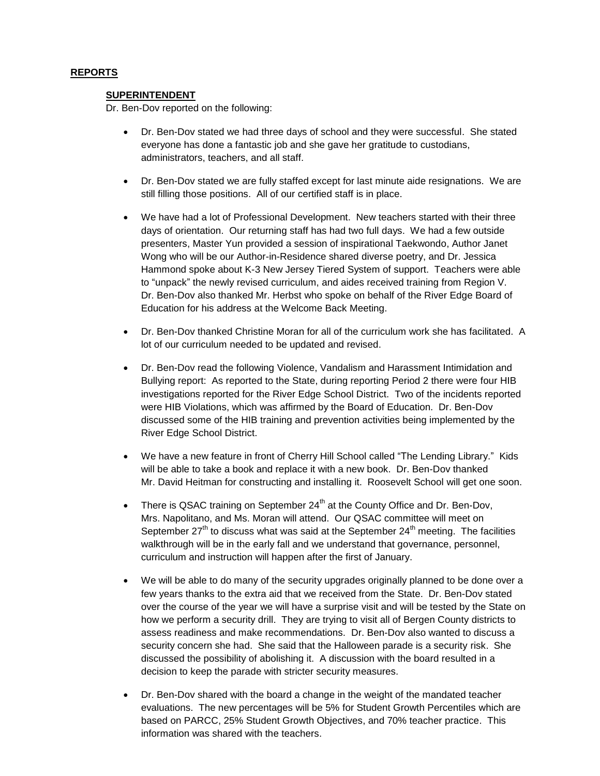# **REPORTS**

#### **SUPERINTENDENT**

Dr. Ben-Dov reported on the following:

- Dr. Ben-Dov stated we had three days of school and they were successful. She stated everyone has done a fantastic job and she gave her gratitude to custodians, administrators, teachers, and all staff.
- Dr. Ben-Dov stated we are fully staffed except for last minute aide resignations. We are still filling those positions. All of our certified staff is in place.
- We have had a lot of Professional Development. New teachers started with their three days of orientation. Our returning staff has had two full days. We had a few outside presenters, Master Yun provided a session of inspirational Taekwondo, Author Janet Wong who will be our Author-in-Residence shared diverse poetry, and Dr. Jessica Hammond spoke about K-3 New Jersey Tiered System of support. Teachers were able to "unpack" the newly revised curriculum, and aides received training from Region V. Dr. Ben-Dov also thanked Mr. Herbst who spoke on behalf of the River Edge Board of Education for his address at the Welcome Back Meeting.
- Dr. Ben-Dov thanked Christine Moran for all of the curriculum work she has facilitated. A lot of our curriculum needed to be updated and revised.
- Dr. Ben-Dov read the following Violence, Vandalism and Harassment Intimidation and Bullying report: As reported to the State, during reporting Period 2 there were four HIB investigations reported for the River Edge School District. Two of the incidents reported were HIB Violations, which was affirmed by the Board of Education. Dr. Ben-Dov discussed some of the HIB training and prevention activities being implemented by the River Edge School District.
- We have a new feature in front of Cherry Hill School called "The Lending Library." Kids will be able to take a book and replace it with a new book. Dr. Ben-Dov thanked Mr. David Heitman for constructing and installing it. Roosevelt School will get one soon.
- There is QSAC training on September  $24<sup>th</sup>$  at the County Office and Dr. Ben-Dov, Mrs. Napolitano, and Ms. Moran will attend. Our QSAC committee will meet on September  $27<sup>th</sup>$  to discuss what was said at the September  $24<sup>th</sup>$  meeting. The facilities walkthrough will be in the early fall and we understand that governance, personnel, curriculum and instruction will happen after the first of January.
- We will be able to do many of the security upgrades originally planned to be done over a few years thanks to the extra aid that we received from the State. Dr. Ben-Dov stated over the course of the year we will have a surprise visit and will be tested by the State on how we perform a security drill. They are trying to visit all of Bergen County districts to assess readiness and make recommendations. Dr. Ben-Dov also wanted to discuss a security concern she had. She said that the Halloween parade is a security risk. She discussed the possibility of abolishing it. A discussion with the board resulted in a decision to keep the parade with stricter security measures.
- Dr. Ben-Dov shared with the board a change in the weight of the mandated teacher evaluations. The new percentages will be 5% for Student Growth Percentiles which are based on PARCC, 25% Student Growth Objectives, and 70% teacher practice. This information was shared with the teachers.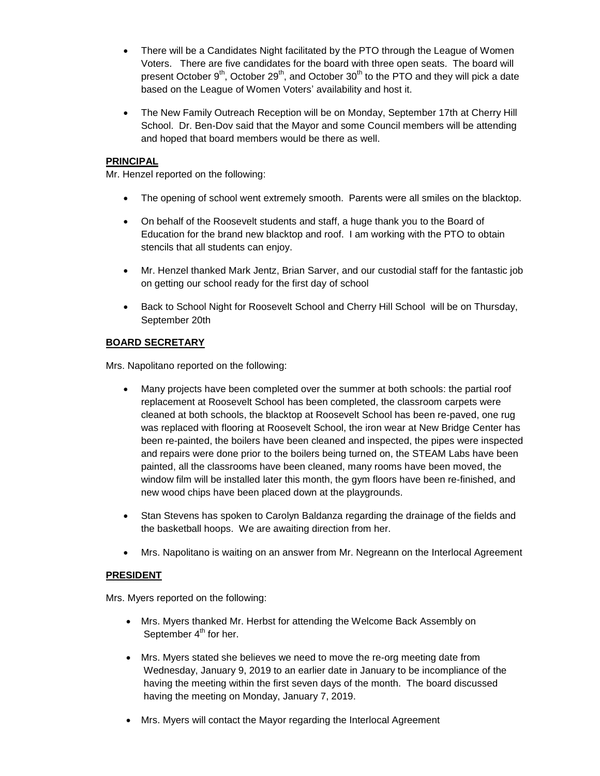- There will be a Candidates Night facilitated by the PTO through the League of Women Voters. There are five candidates for the board with three open seats. The board will present October  $9<sup>th</sup>$ , October  $29<sup>th</sup>$ , and October  $30<sup>th</sup>$  to the PTO and they will pick a date based on the League of Women Voters' availability and host it.
- The New Family Outreach Reception will be on Monday, September 17th at Cherry Hill School. Dr. Ben-Dov said that the Mayor and some Council members will be attending and hoped that board members would be there as well.

# **PRINCIPAL**

Mr. Henzel reported on the following:

- The opening of school went extremely smooth. Parents were all smiles on the blacktop.
- On behalf of the Roosevelt students and staff, a huge thank you to the Board of Education for the brand new blacktop and roof. I am working with the PTO to obtain stencils that all students can enjoy.
- Mr. Henzel thanked Mark Jentz, Brian Sarver, and our custodial staff for the fantastic job on getting our school ready for the first day of school
- Back to School Night for Roosevelt School and Cherry Hill School will be on Thursday, September 20th

# **BOARD SECRETARY**

Mrs. Napolitano reported on the following:

- Many projects have been completed over the summer at both schools: the partial roof replacement at Roosevelt School has been completed, the classroom carpets were cleaned at both schools, the blacktop at Roosevelt School has been re-paved, one rug was replaced with flooring at Roosevelt School, the iron wear at New Bridge Center has been re-painted, the boilers have been cleaned and inspected, the pipes were inspected and repairs were done prior to the boilers being turned on, the STEAM Labs have been painted, all the classrooms have been cleaned, many rooms have been moved, the window film will be installed later this month, the gym floors have been re-finished, and new wood chips have been placed down at the playgrounds.
- Stan Stevens has spoken to Carolyn Baldanza regarding the drainage of the fields and the basketball hoops. We are awaiting direction from her.
- Mrs. Napolitano is waiting on an answer from Mr. Negreann on the Interlocal Agreement

### **PRESIDENT**

Mrs. Myers reported on the following:

- Mrs. Myers thanked Mr. Herbst for attending the Welcome Back Assembly on September  $4<sup>th</sup>$  for her.
- Mrs. Myers stated she believes we need to move the re-org meeting date from Wednesday, January 9, 2019 to an earlier date in January to be incompliance of the having the meeting within the first seven days of the month. The board discussed having the meeting on Monday, January 7, 2019.
- Mrs. Myers will contact the Mayor regarding the Interlocal Agreement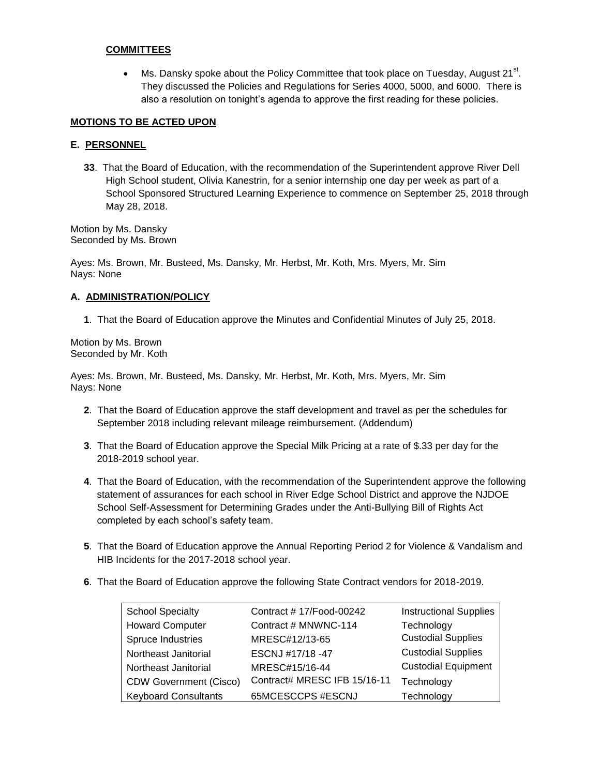### **COMMITTEES**

• Ms. Dansky spoke about the Policy Committee that took place on Tuesday, August  $21^{st}$ . They discussed the Policies and Regulations for Series 4000, 5000, and 6000. There is also a resolution on tonight's agenda to approve the first reading for these policies.

### **MOTIONS TO BE ACTED UPON**

### **E. PERSONNEL**

**33**. That the Board of Education, with the recommendation of the Superintendent approve River Dell High School student, Olivia Kanestrin, for a senior internship one day per week as part of a School Sponsored Structured Learning Experience to commence on September 25, 2018 through May 28, 2018.

Motion by Ms. Dansky Seconded by Ms. Brown

Ayes: Ms. Brown, Mr. Busteed, Ms. Dansky, Mr. Herbst, Mr. Koth, Mrs. Myers, Mr. Sim Nays: None

### **A. ADMINISTRATION/POLICY**

**1**. That the Board of Education approve the Minutes and Confidential Minutes of July 25, 2018.

Motion by Ms. Brown Seconded by Mr. Koth

Ayes: Ms. Brown, Mr. Busteed, Ms. Dansky, Mr. Herbst, Mr. Koth, Mrs. Myers, Mr. Sim Nays: None

- **2**. That the Board of Education approve the staff development and travel as per the schedules for September 2018 including relevant mileage reimbursement. (Addendum)
- **3**. That the Board of Education approve the Special Milk Pricing at a rate of \$.33 per day for the 2018-2019 school year.
- **4**. That the Board of Education, with the recommendation of the Superintendent approve the following statement of assurances for each school in River Edge School District and approve the NJDOE School Self-Assessment for Determining Grades under the Anti-Bullying Bill of Rights Act completed by each school's safety team.
- **5**. That the Board of Education approve the Annual Reporting Period 2 for Violence & Vandalism and HIB Incidents for the 2017-2018 school year.
- **6**. That the Board of Education approve the following State Contract vendors for 2018-2019.

| <b>School Specialty</b>       | Contract #17/Food-00242      | <b>Instructional Supplies</b> |
|-------------------------------|------------------------------|-------------------------------|
| <b>Howard Computer</b>        | Contract # MNWNC-114         | Technology                    |
| Spruce Industries             | MRESC#12/13-65               | <b>Custodial Supplies</b>     |
| Northeast Janitorial          | ESCNJ #17/18 -47             | <b>Custodial Supplies</b>     |
| Northeast Janitorial          | MRESC#15/16-44               | <b>Custodial Equipment</b>    |
| <b>CDW Government (Cisco)</b> | Contract# MRESC IFB 15/16-11 | Technology                    |
| <b>Keyboard Consultants</b>   | 65MCESCCPS #ESCNJ            | Technology                    |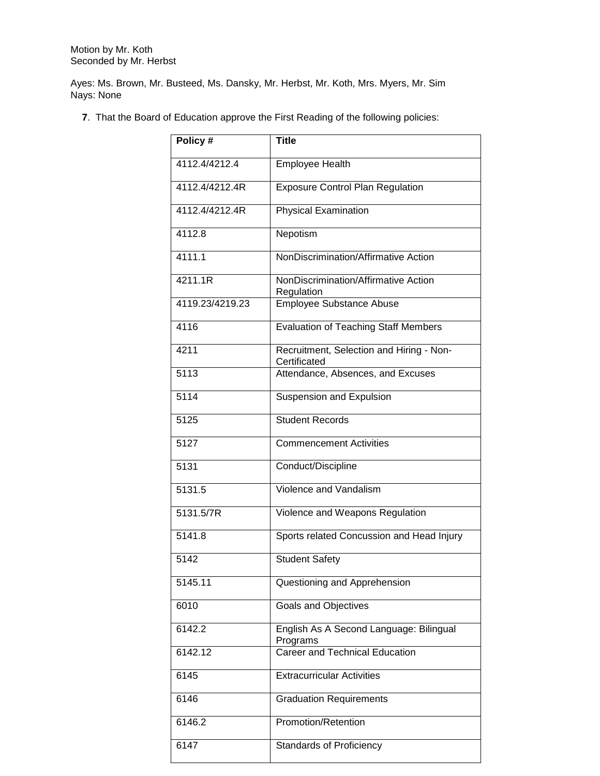Motion by Mr. Koth Seconded by Mr. Herbst

Ayes: Ms. Brown, Mr. Busteed, Ms. Dansky, Mr. Herbst, Mr. Koth, Mrs. Myers, Mr. Sim Nays: None

**7**. That the Board of Education approve the First Reading of the following policies:

| Policy #        | <b>Title</b>                                             |
|-----------------|----------------------------------------------------------|
| 4112.4/4212.4   | <b>Employee Health</b>                                   |
| 4112.4/4212.4R  | <b>Exposure Control Plan Regulation</b>                  |
| 4112.4/4212.4R  | <b>Physical Examination</b>                              |
| 4112.8          | Nepotism                                                 |
| 4111.1          | NonDiscrimination/Affirmative Action                     |
| 4211.1R         | NonDiscrimination/Affirmative Action<br>Regulation       |
| 4119.23/4219.23 | <b>Employee Substance Abuse</b>                          |
| 4116            | <b>Evaluation of Teaching Staff Members</b>              |
| 4211            | Recruitment, Selection and Hiring - Non-<br>Certificated |
| 5113            | Attendance, Absences, and Excuses                        |
| 5114            | Suspension and Expulsion                                 |
| 5125            | <b>Student Records</b>                                   |
| 5127            | <b>Commencement Activities</b>                           |
| 5131            | Conduct/Discipline                                       |
| 5131.5          | Violence and Vandalism                                   |
| 5131.5/7R       | Violence and Weapons Regulation                          |
| 5141.8          | Sports related Concussion and Head Injury                |
| 5142            | <b>Student Safety</b>                                    |
| 5145.11         | Questioning and Apprehension                             |
| 6010            | Goals and Objectives                                     |
| 6142.2          | English As A Second Language: Bilingual<br>Programs      |
| 6142.12         | <b>Career and Technical Education</b>                    |
| 6145            | <b>Extracurricular Activities</b>                        |
| 6146            | <b>Graduation Requirements</b>                           |
| 6146.2          | Promotion/Retention                                      |
| 6147            | <b>Standards of Proficiency</b>                          |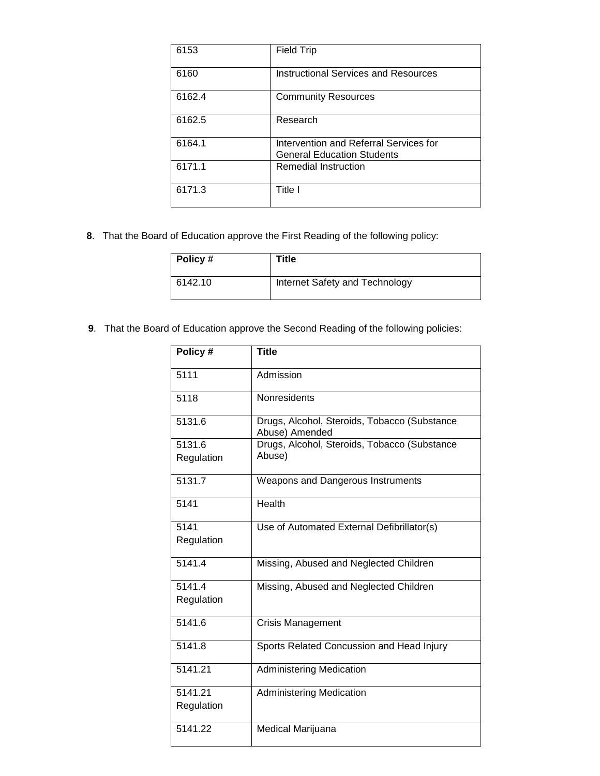| 6153   | Field Trip                                                                  |
|--------|-----------------------------------------------------------------------------|
| 6160   | Instructional Services and Resources                                        |
| 6162.4 | <b>Community Resources</b>                                                  |
| 6162.5 | Research                                                                    |
| 6164.1 | Intervention and Referral Services for<br><b>General Education Students</b> |
| 6171.1 | Remedial Instruction                                                        |
| 6171.3 | Title I                                                                     |

**8**. That the Board of Education approve the First Reading of the following policy:

| Policy # | Title                          |
|----------|--------------------------------|
| 6142.10  | Internet Safety and Technology |

**9**. That the Board of Education approve the Second Reading of the following policies:

| Policy #   | <b>Title</b>                                                   |
|------------|----------------------------------------------------------------|
| 5111       | Admission                                                      |
| 5118       | Nonresidents                                                   |
| 5131.6     | Drugs, Alcohol, Steroids, Tobacco (Substance<br>Abuse) Amended |
| 5131.6     | Drugs, Alcohol, Steroids, Tobacco (Substance                   |
| Regulation | Abuse)                                                         |
| 5131.7     | Weapons and Dangerous Instruments                              |
| 5141       | Health                                                         |
| 5141       | Use of Automated External Defibrillator(s)                     |
| Regulation |                                                                |
| 5141.4     | Missing, Abused and Neglected Children                         |
| 5141.4     | Missing, Abused and Neglected Children                         |
| Regulation |                                                                |
| 5141.6     | <b>Crisis Management</b>                                       |
| 5141.8     | Sports Related Concussion and Head Injury                      |
| 5141.21    | <b>Administering Medication</b>                                |
| 5141.21    | <b>Administering Medication</b>                                |
| Regulation |                                                                |
| 5141.22    | Medical Marijuana                                              |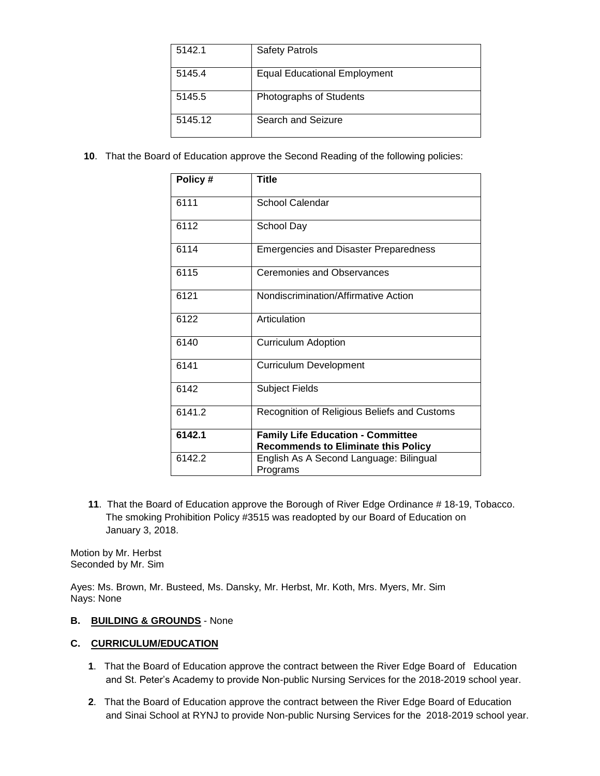| 5142.1  | <b>Safety Patrols</b>        |
|---------|------------------------------|
| 5145.4  | Equal Educational Employment |
| 5145.5  | Photographs of Students      |
| 5145.12 | Search and Seizure           |

**10**. That the Board of Education approve the Second Reading of the following policies:

| Policy # | <b>Title</b>                                                                           |
|----------|----------------------------------------------------------------------------------------|
| 6111     | <b>School Calendar</b>                                                                 |
| 6112     | School Day                                                                             |
| 6114     | <b>Emergencies and Disaster Preparedness</b>                                           |
| 6115     | <b>Ceremonies and Observances</b>                                                      |
| 6121     | Nondiscrimination/Affirmative Action                                                   |
| 6122     | Articulation                                                                           |
| 6140     | <b>Curriculum Adoption</b>                                                             |
| 6141     | <b>Curriculum Development</b>                                                          |
| 6142     | <b>Subject Fields</b>                                                                  |
| 6141.2   | Recognition of Religious Beliefs and Customs                                           |
| 6142.1   | <b>Family Life Education - Committee</b><br><b>Recommends to Eliminate this Policy</b> |
| 6142.2   | English As A Second Language: Bilingual<br>Programs                                    |

**11**. That the Board of Education approve the Borough of River Edge Ordinance # 18-19, Tobacco. The smoking Prohibition Policy #3515 was readopted by our Board of Education on January 3, 2018.

Motion by Mr. Herbst Seconded by Mr. Sim

Ayes: Ms. Brown, Mr. Busteed, Ms. Dansky, Mr. Herbst, Mr. Koth, Mrs. Myers, Mr. Sim Nays: None

# **B. BUILDING & GROUNDS** - None

# **C. CURRICULUM/EDUCATION**

- **1**. That the Board of Education approve the contract between the River Edge Board of Education and St. Peter's Academy to provide Non-public Nursing Services for the 2018-2019 school year.
- **2**. That the Board of Education approve the contract between the River Edge Board of Education and Sinai School at RYNJ to provide Non-public Nursing Services for the 2018-2019 school year.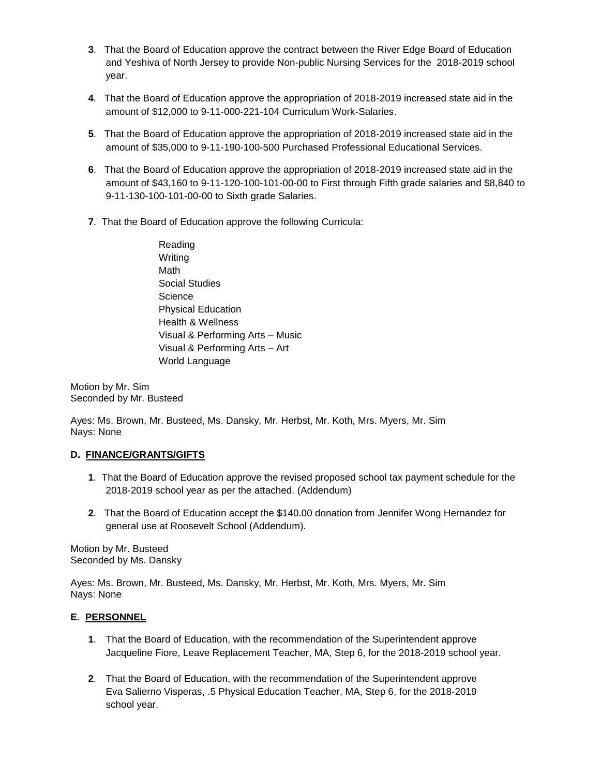- **3**. That the Board of Education approve the contract between the River Edge Board of Education and Yeshiva of North Jersey to provide Non-public Nursing Services for the 2018-2019 school year.
- **4**. That the Board of Education approve the appropriation of 2018-2019 increased state aid in the amount of \$12,000 to 9-11-000-221-104 Curriculum Work-Salaries.
- **5**. That the Board of Education approve the appropriation of 2018-2019 increased state aid in the amount of \$35,000 to 9-11-190-100-500 Purchased Professional Educational Services.
- **6**. That the Board of Education approve the appropriation of 2018-2019 increased state aid in the amount of \$43,160 to 9-11-120-100-101-00-00 to First through Fifth grade salaries and \$8,840 to 9-11-130-100-101-00-00 to Sixth grade Salaries.
- **7**. That the Board of Education approve the following Curricula:
	- Reading Writing Math Social Studies **Science** Physical Education Health & Wellness Visual & Performing Arts – Music Visual & Performing Arts – Art World Language

Motion by Mr. Sim Seconded by Mr. Busteed

Ayes: Ms. Brown, Mr. Busteed, Ms. Dansky, Mr. Herbst, Mr. Koth, Mrs. Myers, Mr. Sim Nays: None

# **D. FINANCE/GRANTS/GIFTS**

- **1**. That the Board of Education approve the revised proposed school tax payment schedule for the 2018-2019 school year as per the attached. (Addendum)
- **2**. That the Board of Education accept the \$140.00 donation from Jennifer Wong Hernandez for general use at Roosevelt School (Addendum).

Motion by Mr. Busteed Seconded by Ms. Dansky

Ayes: Ms. Brown, Mr. Busteed, Ms. Dansky, Mr. Herbst, Mr. Koth, Mrs. Myers, Mr. Sim Nays: None

# **E. PERSONNEL**

- **1**. That the Board of Education, with the recommendation of the Superintendent approve Jacqueline Fiore, Leave Replacement Teacher, MA, Step 6, for the 2018-2019 school year.
- **2**. That the Board of Education, with the recommendation of the Superintendent approve Eva Salierno Visperas, .5 Physical Education Teacher, MA, Step 6, for the 2018-2019 school year.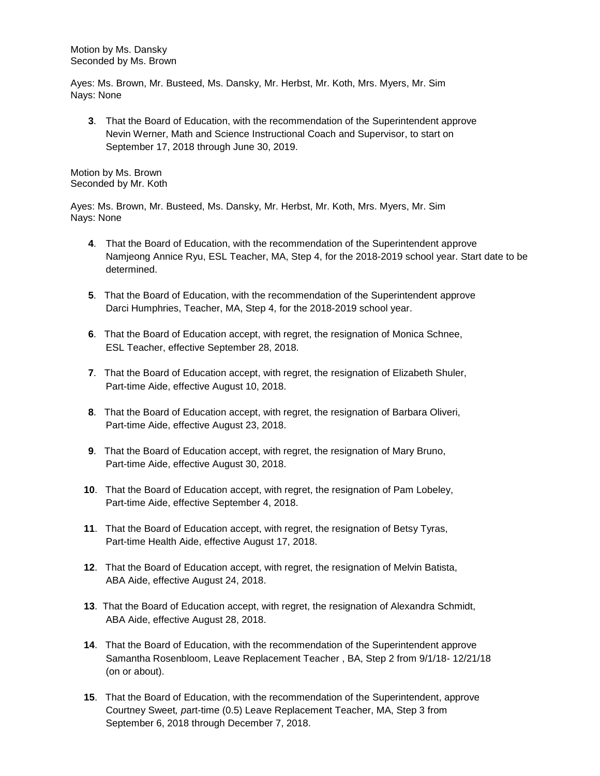Motion by Ms. Dansky Seconded by Ms. Brown

Ayes: Ms. Brown, Mr. Busteed, Ms. Dansky, Mr. Herbst, Mr. Koth, Mrs. Myers, Mr. Sim Nays: None

**3**. That the Board of Education, with the recommendation of the Superintendent approve Nevin Werner, Math and Science Instructional Coach and Supervisor, to start on September 17, 2018 through June 30, 2019.

Motion by Ms. Brown Seconded by Mr. Koth

Ayes: Ms. Brown, Mr. Busteed, Ms. Dansky, Mr. Herbst, Mr. Koth, Mrs. Myers, Mr. Sim Nays: None

- **4**. That the Board of Education, with the recommendation of the Superintendent approve Namjeong Annice Ryu, ESL Teacher, MA, Step 4, for the 2018-2019 school year. Start date to be determined.
- **5**. That the Board of Education, with the recommendation of the Superintendent approve Darci Humphries, Teacher, MA, Step 4, for the 2018-2019 school year.
- **6**. That the Board of Education accept, with regret, the resignation of Monica Schnee, ESL Teacher, effective September 28, 2018.
- **7**. That the Board of Education accept, with regret, the resignation of Elizabeth Shuler, Part-time Aide, effective August 10, 2018.
- **8**. That the Board of Education accept, with regret, the resignation of Barbara Oliveri, Part-time Aide, effective August 23, 2018.
- **9**. That the Board of Education accept, with regret, the resignation of Mary Bruno, Part-time Aide, effective August 30, 2018.
- **10**. That the Board of Education accept, with regret, the resignation of Pam Lobeley, Part-time Aide, effective September 4, 2018.
- **11**. That the Board of Education accept, with regret, the resignation of Betsy Tyras, Part-time Health Aide, effective August 17, 2018.
- **12**. That the Board of Education accept, with regret, the resignation of Melvin Batista, ABA Aide, effective August 24, 2018.
- **13**. That the Board of Education accept, with regret, the resignation of Alexandra Schmidt, ABA Aide, effective August 28, 2018.
- **14**. That the Board of Education, with the recommendation of the Superintendent approve Samantha Rosenbloom, Leave Replacement Teacher , BA, Step 2 from 9/1/18- 12/21/18 (on or about).
- **15**. That the Board of Education, with the recommendation of the Superintendent, approve Courtney Sweet*, p*art-time (0.5) Leave Replacement Teacher, MA, Step 3 from September 6, 2018 through December 7, 2018.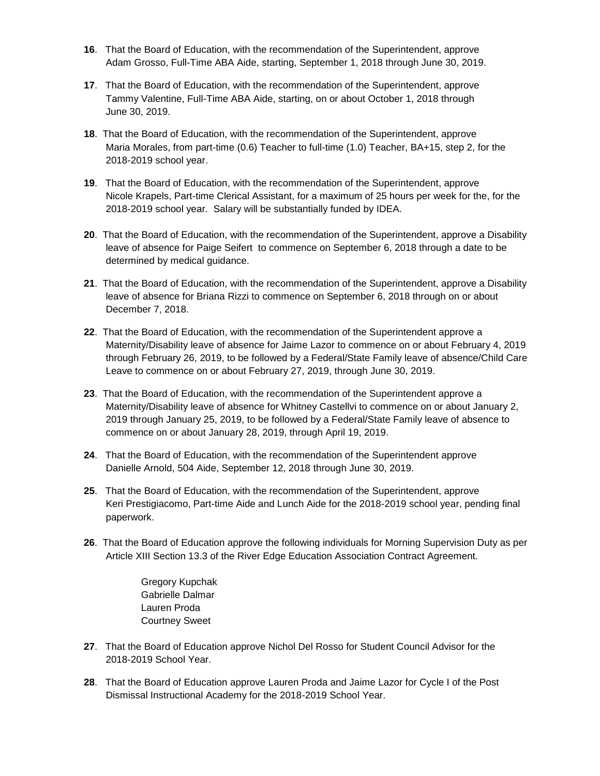- **16**. That the Board of Education, with the recommendation of the Superintendent, approve Adam Grosso, Full-Time ABA Aide, starting, September 1, 2018 through June 30, 2019.
- **17**. That the Board of Education, with the recommendation of the Superintendent, approve Tammy Valentine, Full-Time ABA Aide, starting, on or about October 1, 2018 through June 30, 2019.
- **18**. That the Board of Education, with the recommendation of the Superintendent, approve Maria Morales, from part-time (0.6) Teacher to full-time (1.0) Teacher, BA+15, step 2, for the 2018-2019 school year.
- **19**. That the Board of Education, with the recommendation of the Superintendent, approve Nicole Krapels, Part-time Clerical Assistant, for a maximum of 25 hours per week for the, for the 2018-2019 school year. Salary will be substantially funded by IDEA.
- **20**. That the Board of Education, with the recommendation of the Superintendent, approve a Disability leave of absence for Paige Seifert to commence on September 6, 2018 through a date to be determined by medical guidance.
- **21**. That the Board of Education, with the recommendation of the Superintendent, approve a Disability leave of absence for Briana Rizzi to commence on September 6, 2018 through on or about December 7, 2018.
- **22**. That the Board of Education, with the recommendation of the Superintendent approve a Maternity/Disability leave of absence for Jaime Lazor to commence on or about February 4, 2019 through February 26, 2019, to be followed by a Federal/State Family leave of absence/Child Care Leave to commence on or about February 27, 2019, through June 30, 2019.
- **23**. That the Board of Education, with the recommendation of the Superintendent approve a Maternity/Disability leave of absence for Whitney Castellvi to commence on or about January 2, 2019 through January 25, 2019, to be followed by a Federal/State Family leave of absence to commence on or about January 28, 2019, through April 19, 2019.
- **24**. That the Board of Education, with the recommendation of the Superintendent approve Danielle Arnold, 504 Aide, September 12, 2018 through June 30, 2019.
- **25**. That the Board of Education, with the recommendation of the Superintendent, approve Keri Prestigiacomo, Part-time Aide and Lunch Aide for the 2018-2019 school year, pending final paperwork.
- **26**. That the Board of Education approve the following individuals for Morning Supervision Duty as per Article XIII Section 13.3 of the River Edge Education Association Contract Agreement.

Gregory Kupchak Gabrielle Dalmar Lauren Proda Courtney Sweet

- **27**. That the Board of Education approve Nichol Del Rosso for Student Council Advisor for the 2018-2019 School Year.
- **28**. That the Board of Education approve Lauren Proda and Jaime Lazor for Cycle I of the Post Dismissal Instructional Academy for the 2018-2019 School Year.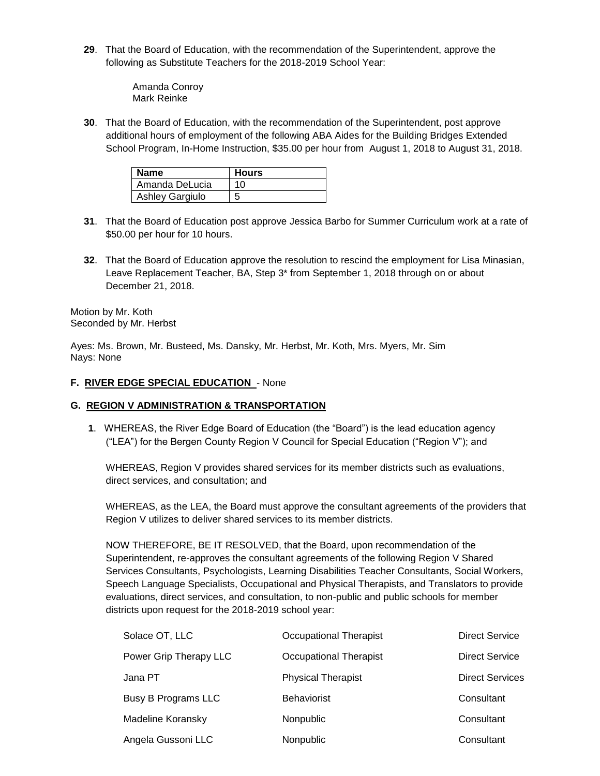**29**. That the Board of Education, with the recommendation of the Superintendent, approve the following as Substitute Teachers for the 2018-2019 School Year:

> Amanda Conroy Mark Reinke

**30**. That the Board of Education, with the recommendation of the Superintendent, post approve additional hours of employment of the following ABA Aides for the Building Bridges Extended School Program, In-Home Instruction, \$35.00 per hour from August 1, 2018 to August 31, 2018.

| <b>Name</b>            | <b>Hours</b> |
|------------------------|--------------|
| Amanda DeLucia         | 10           |
| <b>Ashley Gargiulo</b> | 5            |

- **31**. That the Board of Education post approve Jessica Barbo for Summer Curriculum work at a rate of \$50.00 per hour for 10 hours.
- **32**. That the Board of Education approve the resolution to rescind the employment for Lisa Minasian, Leave Replacement Teacher, BA, Step 3\* from September 1, 2018 through on or about December 21, 2018.

Motion by Mr. Koth Seconded by Mr. Herbst

Ayes: Ms. Brown, Mr. Busteed, Ms. Dansky, Mr. Herbst, Mr. Koth, Mrs. Myers, Mr. Sim Nays: None

### **F. RIVER EDGE SPECIAL EDUCATION** - None

### **G. REGION V ADMINISTRATION & TRANSPORTATION**

**1**. WHEREAS, the River Edge Board of Education (the "Board") is the lead education agency ("LEA") for the Bergen County Region V Council for Special Education ("Region V"); and

WHEREAS, Region V provides shared services for its member districts such as evaluations, direct services, and consultation; and

WHEREAS, as the LEA, the Board must approve the consultant agreements of the providers that Region V utilizes to deliver shared services to its member districts.

NOW THEREFORE, BE IT RESOLVED, that the Board, upon recommendation of the Superintendent, re-approves the consultant agreements of the following Region V Shared Services Consultants, Psychologists, Learning Disabilities Teacher Consultants, Social Workers, Speech Language Specialists, Occupational and Physical Therapists, and Translators to provide evaluations, direct services, and consultation, to non-public and public schools for member districts upon request for the 2018-2019 school year:

| Solace OT, LLC             | Occupational Therapist    | <b>Direct Service</b>  |
|----------------------------|---------------------------|------------------------|
| Power Grip Therapy LLC     | Occupational Therapist    | <b>Direct Service</b>  |
| Jana PT                    | <b>Physical Therapist</b> | <b>Direct Services</b> |
| <b>Busy B Programs LLC</b> | <b>Behaviorist</b>        | Consultant             |
| Madeline Koransky          | <b>Nonpublic</b>          | Consultant             |
| Angela Gussoni LLC         | Nonpublic                 | Consultant             |